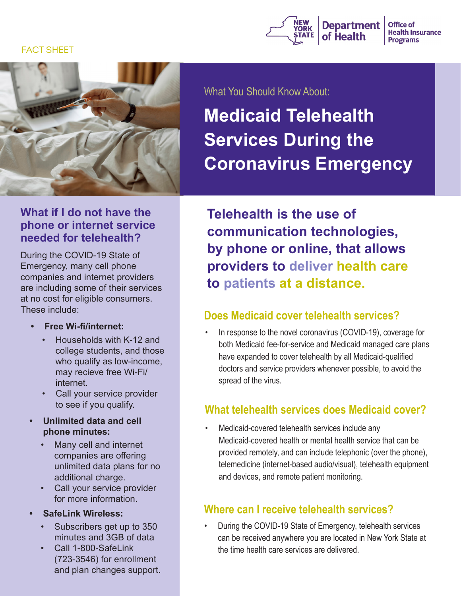#### FACT SHEET





### **What if I do not have the phone or internet service needed for telehealth?**

During the COVID-19 State of Emergency, many cell phone companies and internet providers are including some of their services at no cost for eligible consumers. These include:

- **• Free Wi-fi/internet:**
	- Households with K-12 and college students, and those who qualify as low-income, may recieve free Wi-Fi/ internet.
	- Call your service provider to see if you qualify.
- **• Unlimited data and cell phone minutes:**
	- Many cell and internet companies are offering unlimited data plans for no additional charge.
	- Call your service provider for more information.
- **• SafeLink Wireless:** 
	- Subscribers get up to 350 minutes and 3GB of data
	- Call 1-800-SafeLink (723-3546) for enrollment and plan changes support.

What You Should Know About:

# **Medicaid Telehealth Services During the Coronavirus Emergency**

**Telehealth is the use of communication technologies, by phone or online, that allows providers to deliver health care to patients at a distance.**

### **Does Medicaid cover telehealth services?**

In response to the novel coronavirus (COVID-19), coverage for both Medicaid fee-for-service and Medicaid managed care plans have expanded to cover telehealth by all Medicaid-qualified doctors and service providers whenever possible, to avoid the spread of the virus.

### **What telehealth services does Medicaid cover?**

Medicaid-covered telehealth services include any Medicaid-covered health or mental health service that can be provided remotely, and can include telephonic (over the phone), telemedicine (internet-based audio/visual), telehealth equipment and devices, and remote patient monitoring.

### **Where can I receive telehealth services?**

• During the COVID-19 State of Emergency, telehealth services can be received anywhere you are located in New York State at the time health care services are delivered.